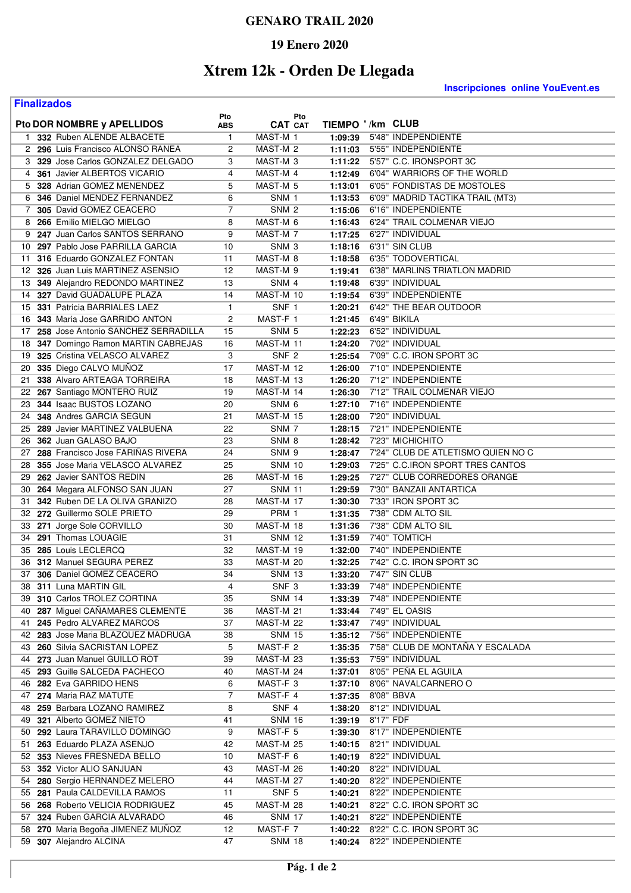### **GENARO TRAIL 2020**

## **19 Enero 2020**

# **Xtrem 12k - Orden De Llegada**

**Finalizados**

**Inscripciones online YouEvent.es** 

|          | Pto DOR NOMBRE y APELLIDOS                                 | Pto<br>ABS     | Pto<br><b>CAT CAT</b>      | TIEMPO '/km CLUB   |           |                                                 |
|----------|------------------------------------------------------------|----------------|----------------------------|--------------------|-----------|-------------------------------------------------|
|          | 1 332 Ruben ALENDE ALBACETE                                | 1              | MAST-M 1                   | 1:09:39            |           | 5'48" INDEPENDIENTE                             |
|          | 2 296 Luis Francisco ALONSO RANEA                          | 2              | MAST-M 2                   | 1:11:03            |           | 5'55" INDEPENDIENTE                             |
|          | 3 329 Jose Carlos GONZALEZ DELGADO                         | 3              | MAST-M <sub>3</sub>        | 1:11:22            |           | 5'57" C.C. IRONSPORT 3C                         |
|          | 4 361 Javier ALBERTOS VICARIO                              | 4              | MAST-M 4                   | 1:12:49            |           | 6'04" WARRIORS OF THE WORLD                     |
|          | 5 328 Adrian GOMEZ MENENDEZ                                | 5              | MAST-M <sub>5</sub>        | 1:13:01            |           | 6'05" FONDISTAS DE MOSTOLES                     |
| 6        | 346 Daniel MENDEZ FERNANDEZ                                | 6              | SNM 1                      | 1:13:53            |           | 6'09" MADRID TACTIKA TRAIL (MT3)                |
|          | 7 305 David GOMEZ CEACERO                                  | $\overline{7}$ | SNM <sub>2</sub>           | 1:15:06            |           | 6'16" INDEPENDIENTE                             |
|          | 8 266 Emilio MIELGO MIELGO                                 | 8              | MAST-M 6                   | 1:16:43            |           | 6'24" TRAIL COLMENAR VIEJO                      |
|          | 9 247 Juan Carlos SANTOS SERRANO                           | 9              | MAST-M7                    | 1:17:25            |           | 6'27" INDIVIDUAL                                |
|          | 10 297 Pablo Jose PARRILLA GARCIA                          | 10             | SNM <sub>3</sub>           | 1:18:16            |           | 6'31" SIN CLUB                                  |
| 11       | 316 Eduardo GONZALEZ FONTAN                                | 11             | MAST-M 8                   | 1:18:58            |           | 6'35" TODOVERTICAL                              |
|          | 12 326 Juan Luis MARTINEZ ASENSIO                          | 12             | MAST-M 9                   | 1:19:41            |           | 6'38" MARLINS TRIATLON MADRID                   |
| 13       | 349 Alejandro REDONDO MARTINEZ                             | 13             | SNM 4                      | 1:19:48            |           | 6'39" INDIVIDUAL                                |
| 14       | 327 David GUADALUPE PLAZA                                  | 14             | MAST-M 10                  | 1:19:54            |           | 6'39" INDEPENDIENTE                             |
| 15       | 331 Patricia BARRIALES LAEZ                                | 1              | SNF 1                      | 1:20:21            |           | 6'42" THE BEAR OUTDOOR                          |
| 16       | 343 Maria Jose GARRIDO ANTON                               | 2              | MAST-F 1                   | 1:21:45            |           | 6'49" BIKILA                                    |
| 17       | 258 Jose Antonio SANCHEZ SERRADILLA                        | 15             | SNM <sub>5</sub>           | 1:22:23            |           | 6'52" INDIVIDUAL                                |
| 18       | 347 Domingo Ramon MARTIN CABREJAS                          | 16             | MAST-M 11                  | 1:24:20            |           | 7'02" INDIVIDUAL                                |
| 19       | 325 Cristina VELASCO ALVAREZ                               | 3              | SNF <sub>2</sub>           | 1:25:54            |           | 7'09" C.C. IRON SPORT 3C                        |
| 20       | 335 Diego CALVO MUÑOZ                                      | 17             | MAST-M 12                  | 1:26:00            |           | 7'10" INDEPENDIENTE                             |
| 21       | 338 Alvaro ARTEAGA TORREIRA                                | 18             | $MAST-M$ 13                | 1:26:20            |           | 7'12" INDEPENDIENTE                             |
| 22       | 267 Santiago MONTERO RUIZ                                  | 19             | MAST-M 14                  | 1:26:30            |           | 7'12" TRAIL COLMENAR VIEJO                      |
| 23       | 344 Isaac BUSTOS LOZANO                                    | 20             | SNM <sub>6</sub>           | 1:27:10            |           | 7'16" INDEPENDIENTE                             |
| 24       | 348 Andres GARCIA SEGUN                                    | 21             | MAST-M 15                  | 1:28:00            |           | 7'20" INDIVIDUAL                                |
| 25       | 289 Javier MARTINEZ VALBUENA                               | 22             | SNM 7                      | 1:28:15            |           | 7'21" INDEPENDIENTE                             |
| 26       | 362 Juan GALASO BAJO                                       | 23             | SNM 8                      | 1:28:42            |           | 7'23" MICHICHITO                                |
|          | 27 288 Francisco Jose FARINAS RIVERA                       | 24             | SNM <sub>9</sub>           | 1:28:47            |           | 7'24" CLUB DE ATLETISMO QUIEN NO C              |
| 28       | 355 Jose Maria VELASCO ALVAREZ                             | 25             | <b>SNM 10</b>              | 1:29:03            |           | 7'25" C.C. IRON SPORT TRES CANTOS               |
| 29       | 262 Javier SANTOS REDIN                                    | 26             | MAST-M 16                  | 1:29:25            |           | 7'27" CLUB CORREDORES ORANGE                    |
| 30       | 264 Megara ALFONSO SAN JUAN                                | 27             | <b>SNM 11</b>              | 1:29:59            |           | 7'30" BANZAII ANTARTICA                         |
| 31.      | 342 Ruben DE LA OLIVA GRANIZO                              | 28             | MAST-M 17                  | 1:30:30            |           | 7'33" IRON SPORT 3C                             |
| 32       | 272 Guillermo SOLE PRIETO                                  | 29             | PRM 1                      | 1:31:35            |           | 7'38" CDM ALTO SIL                              |
| 33       | 271 Jorge Sole CORVILLO                                    | 30             | MAST-M 18                  | 1:31:36            |           | 7'38" CDM ALTO SIL                              |
| 34       | 291 Thomas LOUAGIE                                         | 31             | <b>SNM 12</b>              | 1:31:59            |           | 7'40" TOMTICH                                   |
| 35       | 285 Louis LECLERCQ                                         | 32             | MAST-M 19                  | 1:32:00            |           | 7'40" INDEPENDIENTE                             |
| 36       | 312 Manuel SEGURA PEREZ                                    | 33             | MAST-M 20                  | 1:32:25            |           | 7'42" C.C. IRON SPORT 3C                        |
| 37       | 306 Daniel GOMEZ CEACERO                                   | 34             | <b>SNM 13</b>              | 1:33:20            |           | 7'47" SIN CLUB                                  |
| 38       | 311 Luna MARTIN GIL                                        | 4              | SNF <sub>3</sub>           | 1:33:39            |           | 7'48" INDEPENDIENTE                             |
| 39       | 310 Carlos TROLEZ CORTINA                                  | 35             | <b>SNM 14</b>              | 1:33:39            |           | 7'48" INDEPENDIENTE                             |
|          | 40 287 Miguel CAÑAMARES CLEMENTE                           | 36             | MAST-M 21                  | 1:33:44            |           | 7'49" EL OASIS                                  |
| 41       | 245 Pedro ALVAREZ MARCOS                                   | 37             | MAST-M 22                  | 1:33:47            |           | 7'49" INDIVIDUAL                                |
|          | 42 283 Jose Maria BLAZQUEZ MADRUGA                         | 38             | <b>SNM 15</b>              | 1:35:12            |           | 7'56" INDEPENDIENTE                             |
| 43       | <b>260 Silvia SACRISTAN LOPEZ</b>                          | 5              | MAST-F 2                   | 1:35:35            |           | 7'58" CLUB DE MONTAÑA Y ESCALADA                |
| 44       | 273 Juan Manuel GUILLO ROT                                 | 39             | MAST-M 23                  | 1:35:53            |           | 7'59" INDIVIDUAL                                |
| 45       | 293 Guille SALCEDA PACHECO                                 | 40             | MAST-M 24                  | 1:37:01            |           | 8'05" PEÑA EL AGUILA                            |
| 46       | 282 Eva GARRIDO HENS                                       | 6              | MAST-F 3                   | 1:37:10            |           | 8'06" NAVALCARNERO O                            |
|          | 47 274 Maria RAZ MATUTE                                    | 7              | MAST-F 4                   | 1:37:35            |           | 8'08" BBVA                                      |
| 48       | 259 Barbara LOZANO RAMIREZ                                 | 8              | SNF 4<br><b>SNM 16</b>     | 1:38:20<br>1:39:19 |           | 8'12" INDIVIDUAL                                |
| 49       | 321 Alberto GOMEZ NIETO                                    | 41             |                            |                    | 8'17" FDF |                                                 |
| 50       | 292 Laura TARAVILLO DOMINGO                                | 9              | MAST-F 5                   | 1:39:30            |           | 8'17" INDEPENDIENTE                             |
| 51       | 263 Eduardo PLAZA ASENJO<br>52 353 Nieves FRESNEDA BELLO   | 42             | MAST-M 25<br>MAST-F 6      | 1:40:15            |           | 8'21" INDIVIDUAL<br>8'22" INDIVIDUAL            |
|          |                                                            | 10             |                            | 1:40:19            |           |                                                 |
| 53       | 352 Victor ALIO SANJUAN                                    | 43<br>44       | MAST-M 26                  | 1:40:20            |           | 8'22" INDIVIDUAL<br>8'22" INDEPENDIENTE         |
| 54       | 280 Sergio HERNANDEZ MELERO<br>281 Paula CALDEVILLA RAMOS  |                | MAST-M 27                  | 1:40:20            |           | 8'22" INDEPENDIENTE                             |
| 55       |                                                            | 11             | SNF <sub>5</sub>           | 1:40:21            |           |                                                 |
| 56       | 268 Roberto VELICIA RODRIGUEZ<br>324 Ruben GARCIA ALVARADO | 45<br>46       | MAST-M 28<br><b>SNM 17</b> | 1:40:21            |           | 8'22" C.C. IRON SPORT 3C<br>8'22" INDEPENDIENTE |
| 57<br>58 | 270 Maria Begoña JIMENEZ MUÑOZ                             | 12             | MAST-F 7                   | 1:40:21<br>1:40:22 |           | 8'22" C.C. IRON SPORT 3C                        |
|          | 59 307 Alejandro ALCINA                                    | 47             | <b>SNM 18</b>              |                    |           | 1:40:24 8'22" INDEPENDIENTE                     |
|          |                                                            |                |                            |                    |           |                                                 |